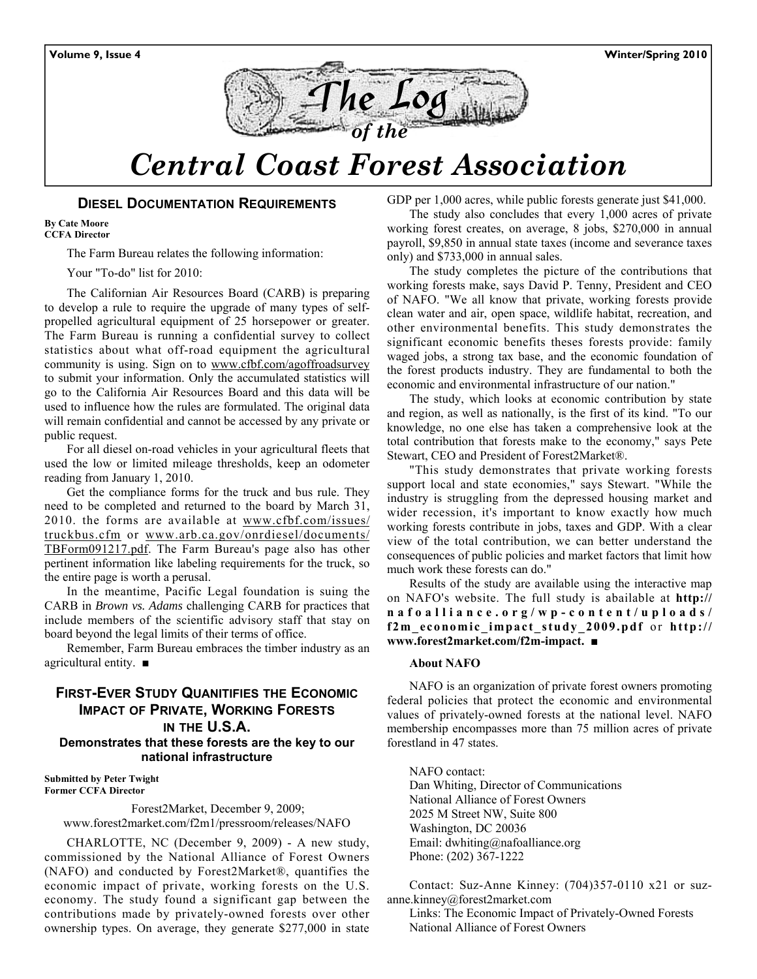

# *Central Coast Forest Association*

#### **DIESEL DOCUMENTATION REQUIREMENTS**

**By Cate Moore CCFA Director** 

The Farm Bureau relates the following information:

Your "To-do" list for 2010:

The Californian Air Resources Board (CARB) is preparing to develop a rule to require the upgrade of many types of selfpropelled agricultural equipment of 25 horsepower or greater. The Farm Bureau is running a confidential survey to collect statistics about what off-road equipment the agricultural community is using. Sign on to www.cfbf.com/agoffroadsurvey to submit your information. Only the accumulated statistics will go to the California Air Resources Board and this data will be used to influence how the rules are formulated. The original data will remain confidential and cannot be accessed by any private or public request.

For all diesel on-road vehicles in your agricultural fleets that used the low or limited mileage thresholds, keep an odometer reading from January 1, 2010.

Get the compliance forms for the truck and bus rule. They need to be completed and returned to the board by March 31, 2010. the forms are available at www.cfbf.com/issues/ truckbus.cfm or www.arb.ca.gov/onrdiesel/documents/ TBForm091217.pdf. The Farm Bureau's page also has other pertinent information like labeling requirements for the truck, so the entire page is worth a perusal.

In the meantime, Pacific Legal foundation is suing the CARB in *Brown vs. Adams* challenging CARB for practices that include members of the scientific advisory staff that stay on board beyond the legal limits of their terms of office.

Remember, Farm Bureau embraces the timber industry as an agricultural entity. ■

# **FIRST-EVER STUDY QUANITIFIES THE ECONOMIC IMPACT OF PRIVATE, WORKING FORESTS IN THE U.S.A. Demonstrates that these forests are the key to our national infrastructure**

**Submitted by Peter Twight Former CCFA Director** 

> Forest2Market, December 9, 2009; www.forest2market.com/f2m1/pressroom/releases/NAFO

CHARLOTTE, NC (December 9, 2009) - A new study, commissioned by the National Alliance of Forest Owners (NAFO) and conducted by Forest2Market®, quantifies the economic impact of private, working forests on the U.S. economy. The study found a significant gap between the contributions made by privately-owned forests over other ownership types. On average, they generate \$277,000 in state GDP per 1,000 acres, while public forests generate just \$41,000.

The study also concludes that every 1,000 acres of private working forest creates, on average, 8 jobs, \$270,000 in annual payroll, \$9,850 in annual state taxes (income and severance taxes only) and \$733,000 in annual sales.

The study completes the picture of the contributions that working forests make, says David P. Tenny, President and CEO of NAFO. "We all know that private, working forests provide clean water and air, open space, wildlife habitat, recreation, and other environmental benefits. This study demonstrates the significant economic benefits theses forests provide: family waged jobs, a strong tax base, and the economic foundation of the forest products industry. They are fundamental to both the economic and environmental infrastructure of our nation."

The study, which looks at economic contribution by state and region, as well as nationally, is the first of its kind. "To our knowledge, no one else has taken a comprehensive look at the total contribution that forests make to the economy," says Pete Stewart, CEO and President of Forest2Market®.

"This study demonstrates that private working forests support local and state economies," says Stewart. "While the industry is struggling from the depressed housing market and wider recession, it's important to know exactly how much working forests contribute in jobs, taxes and GDP. With a clear view of the total contribution, we can better understand the consequences of public policies and market factors that limit how much work these forests can do."

Results of the study are available using the interactive map on NAFO's website. The full study is abailable at **http:// nafoalliance.org/wp-content/uploads/ f2m\_economic\_impact\_study\_2009.pdf** or **http:// www.forest2market.com/f2m-impact. ■**

#### **About NAFO**

NAFO is an organization of private forest owners promoting federal policies that protect the economic and environmental values of privately-owned forests at the national level. NAFO membership encompasses more than 75 million acres of private forestland in 47 states.

NAFO contact: Dan Whiting, Director of Communications National Alliance of Forest Owners 2025 M Street NW, Suite 800 Washington, DC 20036 Email: dwhiting@nafoalliance.org Phone: (202) 367-1222

Contact: Suz-Anne Kinney: (704)357-0110 x21 or suzanne.kinney@forest2market.com

Links: The Economic Impact of Privately-Owned Forests National Alliance of Forest Owners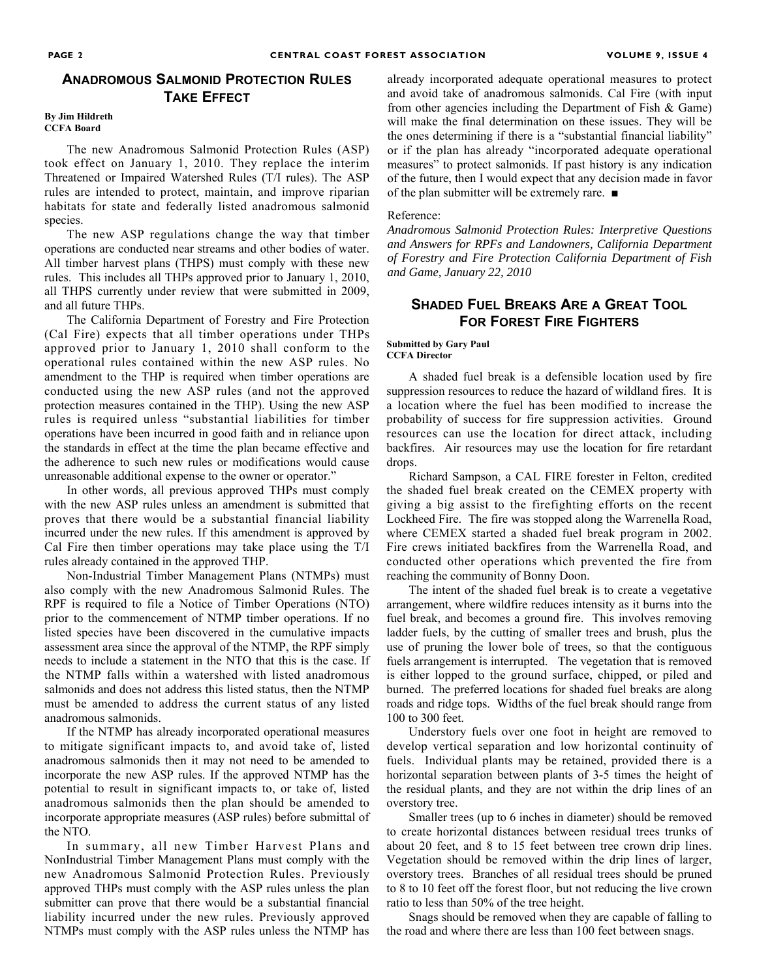# **ANADROMOUS SALMONID PROTECTION RULES TAKE EFFECT**

#### **By Jim Hildreth CCFA Board**

The new Anadromous Salmonid Protection Rules (ASP) took effect on January 1, 2010. They replace the interim Threatened or Impaired Watershed Rules (T/I rules). The ASP rules are intended to protect, maintain, and improve riparian habitats for state and federally listed anadromous salmonid species.

The new ASP regulations change the way that timber operations are conducted near streams and other bodies of water. All timber harvest plans (THPS) must comply with these new rules. This includes all THPs approved prior to January 1, 2010, all THPS currently under review that were submitted in 2009, and all future THPs.

The California Department of Forestry and Fire Protection (Cal Fire) expects that all timber operations under THPs approved prior to January 1, 2010 shall conform to the operational rules contained within the new ASP rules. No amendment to the THP is required when timber operations are conducted using the new ASP rules (and not the approved protection measures contained in the THP). Using the new ASP rules is required unless "substantial liabilities for timber operations have been incurred in good faith and in reliance upon the standards in effect at the time the plan became effective and the adherence to such new rules or modifications would cause unreasonable additional expense to the owner or operator."

In other words, all previous approved THPs must comply with the new ASP rules unless an amendment is submitted that proves that there would be a substantial financial liability incurred under the new rules. If this amendment is approved by Cal Fire then timber operations may take place using the T/I rules already contained in the approved THP.

Non-Industrial Timber Management Plans (NTMPs) must also comply with the new Anadromous Salmonid Rules. The RPF is required to file a Notice of Timber Operations (NTO) prior to the commencement of NTMP timber operations. If no listed species have been discovered in the cumulative impacts assessment area since the approval of the NTMP, the RPF simply needs to include a statement in the NTO that this is the case. If the NTMP falls within a watershed with listed anadromous salmonids and does not address this listed status, then the NTMP must be amended to address the current status of any listed anadromous salmonids.

If the NTMP has already incorporated operational measures to mitigate significant impacts to, and avoid take of, listed anadromous salmonids then it may not need to be amended to incorporate the new ASP rules. If the approved NTMP has the potential to result in significant impacts to, or take of, listed anadromous salmonids then the plan should be amended to incorporate appropriate measures (ASP rules) before submittal of the NTO.

In summary, all new Timber Harvest Plans and NonIndustrial Timber Management Plans must comply with the new Anadromous Salmonid Protection Rules. Previously approved THPs must comply with the ASP rules unless the plan submitter can prove that there would be a substantial financial liability incurred under the new rules. Previously approved NTMPs must comply with the ASP rules unless the NTMP has already incorporated adequate operational measures to protect and avoid take of anadromous salmonids. Cal Fire (with input from other agencies including the Department of Fish & Game) will make the final determination on these issues. They will be the ones determining if there is a "substantial financial liability" or if the plan has already "incorporated adequate operational measures" to protect salmonids. If past history is any indication of the future, then I would expect that any decision made in favor of the plan submitter will be extremely rare. ■

#### Reference:

*Anadromous Salmonid Protection Rules: Interpretive Questions and Answers for RPFs and Landowners, California Department of Forestry and Fire Protection California Department of Fish and Game, January 22, 2010* 

# **SHADED FUEL BREAKS ARE A GREAT TOOL FOR FOREST FIRE FIGHTERS**

**Submitted by Gary Paul CCFA Director** 

A shaded fuel break is a defensible location used by fire suppression resources to reduce the hazard of wildland fires. It is a location where the fuel has been modified to increase the probability of success for fire suppression activities. Ground resources can use the location for direct attack, including backfires. Air resources may use the location for fire retardant drops.

Richard Sampson, a CAL FIRE forester in Felton, credited the shaded fuel break created on the CEMEX property with giving a big assist to the firefighting efforts on the recent Lockheed Fire. The fire was stopped along the Warrenella Road, where CEMEX started a shaded fuel break program in 2002. Fire crews initiated backfires from the Warrenella Road, and conducted other operations which prevented the fire from reaching the community of Bonny Doon.

The intent of the shaded fuel break is to create a vegetative arrangement, where wildfire reduces intensity as it burns into the fuel break, and becomes a ground fire. This involves removing ladder fuels, by the cutting of smaller trees and brush, plus the use of pruning the lower bole of trees, so that the contiguous fuels arrangement is interrupted. The vegetation that is removed is either lopped to the ground surface, chipped, or piled and burned. The preferred locations for shaded fuel breaks are along roads and ridge tops. Widths of the fuel break should range from 100 to 300 feet.

Understory fuels over one foot in height are removed to develop vertical separation and low horizontal continuity of fuels. Individual plants may be retained, provided there is a horizontal separation between plants of 3-5 times the height of the residual plants, and they are not within the drip lines of an overstory tree.

Smaller trees (up to 6 inches in diameter) should be removed to create horizontal distances between residual trees trunks of about 20 feet, and 8 to 15 feet between tree crown drip lines. Vegetation should be removed within the drip lines of larger, overstory trees. Branches of all residual trees should be pruned to 8 to 10 feet off the forest floor, but not reducing the live crown ratio to less than 50% of the tree height.

Snags should be removed when they are capable of falling to the road and where there are less than 100 feet between snags.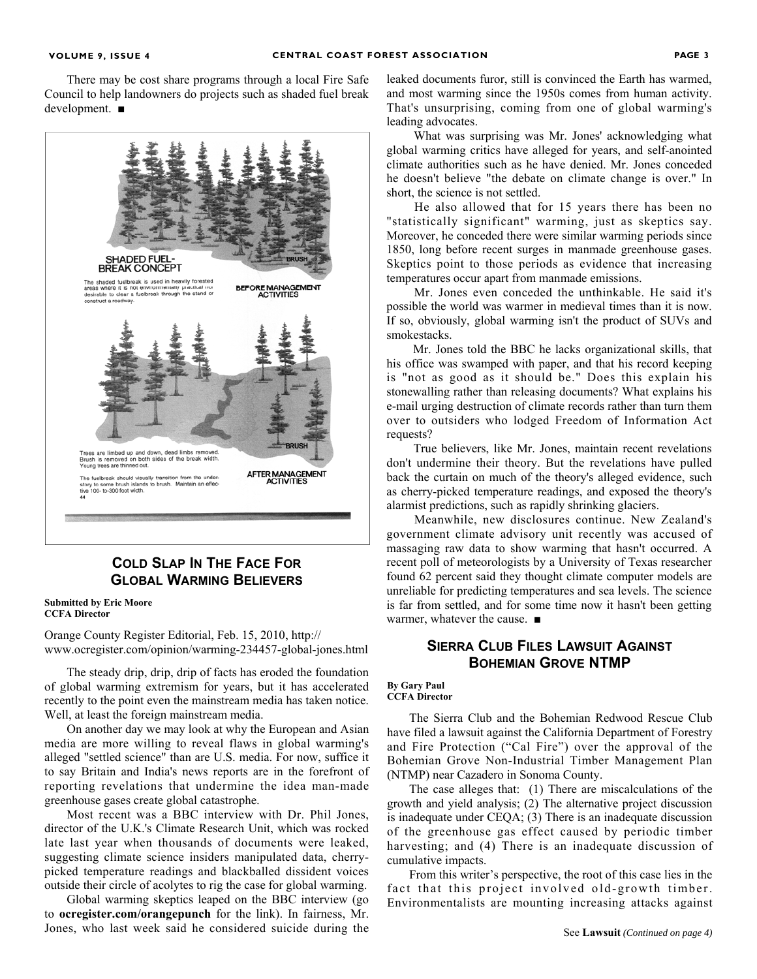There may be cost share programs through a local Fire Safe Council to help landowners do projects such as shaded fuel break development. ■



# **COLD SLAP IN THE FACE FOR GLOBAL WARMING BELIEVERS**

**Submitted by Eric Moore CCFA Director** 

Orange County Register Editorial, Feb. 15, 2010, http:// www.ocregister.com/opinion/warming-234457-global-jones.html

The steady drip, drip, drip of facts has eroded the foundation of global warming extremism for years, but it has accelerated recently to the point even the mainstream media has taken notice. Well, at least the foreign mainstream media.

On another day we may look at why the European and Asian media are more willing to reveal flaws in global warming's alleged "settled science" than are U.S. media. For now, suffice it to say Britain and India's news reports are in the forefront of reporting revelations that undermine the idea man-made greenhouse gases create global catastrophe.

Most recent was a BBC interview with Dr. Phil Jones, director of the U.K.'s Climate Research Unit, which was rocked late last year when thousands of documents were leaked, suggesting climate science insiders manipulated data, cherrypicked temperature readings and blackballed dissident voices outside their circle of acolytes to rig the case for global warming.

Global warming skeptics leaped on the BBC interview (go to **ocregister.com/orangepunch** for the link). In fairness, Mr. Jones, who last week said he considered suicide during the leaked documents furor, still is convinced the Earth has warmed, and most warming since the 1950s comes from human activity. That's unsurprising, coming from one of global warming's leading advocates.

 What was surprising was Mr. Jones' acknowledging what global warming critics have alleged for years, and self-anointed climate authorities such as he have denied. Mr. Jones conceded he doesn't believe "the debate on climate change is over." In short, the science is not settled.

 He also allowed that for 15 years there has been no "statistically significant" warming, just as skeptics say. Moreover, he conceded there were similar warming periods since 1850, long before recent surges in manmade greenhouse gases. Skeptics point to those periods as evidence that increasing temperatures occur apart from manmade emissions.

 Mr. Jones even conceded the unthinkable. He said it's possible the world was warmer in medieval times than it is now. If so, obviously, global warming isn't the product of SUVs and smokestacks.

 Mr. Jones told the BBC he lacks organizational skills, that his office was swamped with paper, and that his record keeping is "not as good as it should be." Does this explain his stonewalling rather than releasing documents? What explains his e-mail urging destruction of climate records rather than turn them over to outsiders who lodged Freedom of Information Act requests?

 True believers, like Mr. Jones, maintain recent revelations don't undermine their theory. But the revelations have pulled back the curtain on much of the theory's alleged evidence, such as cherry-picked temperature readings, and exposed the theory's alarmist predictions, such as rapidly shrinking glaciers.

 Meanwhile, new disclosures continue. New Zealand's government climate advisory unit recently was accused of massaging raw data to show warming that hasn't occurred. A recent poll of meteorologists by a University of Texas researcher found 62 percent said they thought climate computer models are unreliable for predicting temperatures and sea levels. The science is far from settled, and for some time now it hasn't been getting warmer, whatever the cause. ■

# **SIERRA CLUB FILES LAWSUIT AGAINST BOHEMIAN GROVE NTMP**

#### **By Gary Paul CCFA Director**

The Sierra Club and the Bohemian Redwood Rescue Club have filed a lawsuit against the California Department of Forestry and Fire Protection ("Cal Fire") over the approval of the Bohemian Grove Non-Industrial Timber Management Plan (NTMP) near Cazadero in Sonoma County.

The case alleges that: (1) There are miscalculations of the growth and yield analysis; (2) The alternative project discussion is inadequate under CEQA; (3) There is an inadequate discussion of the greenhouse gas effect caused by periodic timber harvesting; and (4) There is an inadequate discussion of cumulative impacts.

From this writer's perspective, the root of this case lies in the fact that this project involved old-growth timber. Environmentalists are mounting increasing attacks against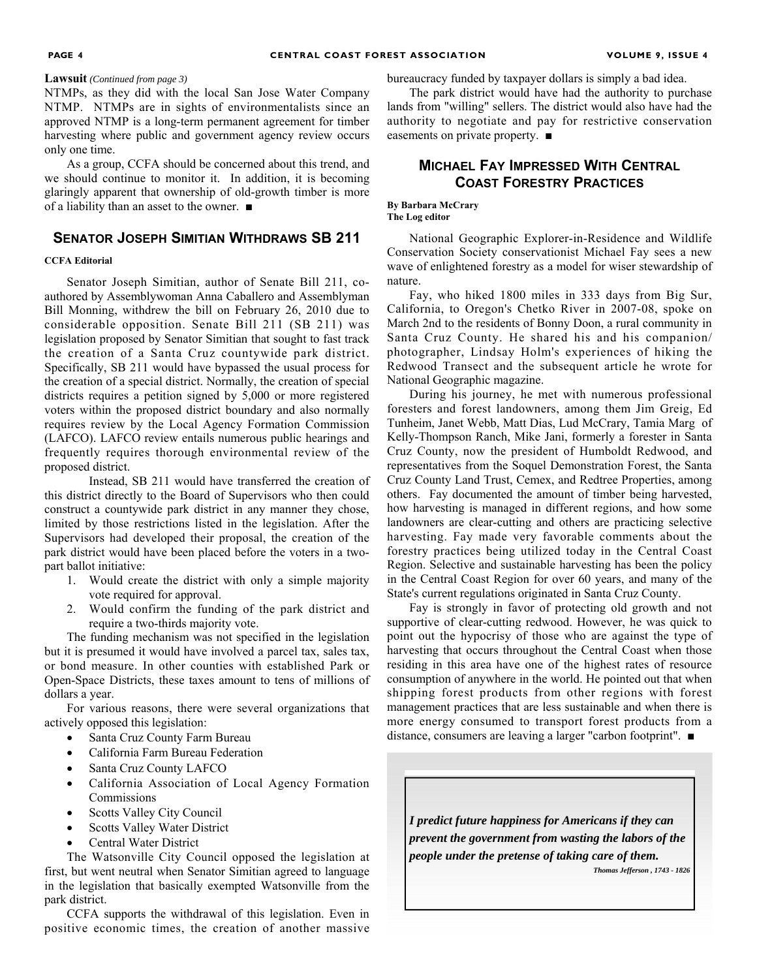#### **Lawsuit** *(Continued from page 3)*

NTMPs, as they did with the local San Jose Water Company NTMP. NTMPs are in sights of environmentalists since an approved NTMP is a long-term permanent agreement for timber harvesting where public and government agency review occurs only one time.

As a group, CCFA should be concerned about this trend, and we should continue to monitor it. In addition, it is becoming glaringly apparent that ownership of old-growth timber is more of a liability than an asset to the owner. ■

### **SENATOR JOSEPH SIMITIAN WITHDRAWS SB 211**

#### **CCFA Editorial**

Senator Joseph Simitian, author of Senate Bill 211, coauthored by Assemblywoman Anna Caballero and Assemblyman Bill Monning, withdrew the bill on February 26, 2010 due to considerable opposition. Senate Bill 211 (SB 211) was legislation proposed by Senator Simitian that sought to fast track the creation of a Santa Cruz countywide park district. Specifically, SB 211 would have bypassed the usual process for the creation of a special district. Normally, the creation of special districts requires a petition signed by 5,000 or more registered voters within the proposed district boundary and also normally requires review by the Local Agency Formation Commission (LAFCO). LAFCO review entails numerous public hearings and frequently requires thorough environmental review of the proposed district.

 Instead, SB 211 would have transferred the creation of this district directly to the Board of Supervisors who then could construct a countywide park district in any manner they chose, limited by those restrictions listed in the legislation. After the Supervisors had developed their proposal, the creation of the park district would have been placed before the voters in a twopart ballot initiative:

- 1. Would create the district with only a simple majority vote required for approval.
- 2. Would confirm the funding of the park district and require a two-thirds majority vote.

The funding mechanism was not specified in the legislation but it is presumed it would have involved a parcel tax, sales tax, or bond measure. In other counties with established Park or Open-Space Districts, these taxes amount to tens of millions of dollars a year.

For various reasons, there were several organizations that actively opposed this legislation:

- Santa Cruz County Farm Bureau
- California Farm Bureau Federation
- Santa Cruz County LAFCO
- California Association of Local Agency Formation Commissions
- Scotts Valley City Council
- Scotts Valley Water District
- Central Water District

The Watsonville City Council opposed the legislation at first, but went neutral when Senator Simitian agreed to language in the legislation that basically exempted Watsonville from the park district.

CCFA supports the withdrawal of this legislation. Even in positive economic times, the creation of another massive bureaucracy funded by taxpayer dollars is simply a bad idea.

The park district would have had the authority to purchase lands from "willing" sellers. The district would also have had the authority to negotiate and pay for restrictive conservation easements on private property. ■

# **MICHAEL FAY IMPRESSED WITH CENTRAL COAST FORESTRY PRACTICES**

**By Barbara McCrary The Log editor** 

National Geographic Explorer-in-Residence and Wildlife Conservation Society conservationist Michael Fay sees a new wave of enlightened forestry as a model for wiser stewardship of nature.

Fay, who hiked 1800 miles in 333 days from Big Sur, California, to Oregon's Chetko River in 2007-08, spoke on March 2nd to the residents of Bonny Doon, a rural community in Santa Cruz County. He shared his and his companion/ photographer, Lindsay Holm's experiences of hiking the Redwood Transect and the subsequent article he wrote for National Geographic magazine.

During his journey, he met with numerous professional foresters and forest landowners, among them Jim Greig, Ed Tunheim, Janet Webb, Matt Dias, Lud McCrary, Tamia Marg of Kelly-Thompson Ranch, Mike Jani, formerly a forester in Santa Cruz County, now the president of Humboldt Redwood, and representatives from the Soquel Demonstration Forest, the Santa Cruz County Land Trust, Cemex, and Redtree Properties, among others. Fay documented the amount of timber being harvested, how harvesting is managed in different regions, and how some landowners are clear-cutting and others are practicing selective harvesting. Fay made very favorable comments about the forestry practices being utilized today in the Central Coast Region. Selective and sustainable harvesting has been the policy in the Central Coast Region for over 60 years, and many of the State's current regulations originated in Santa Cruz County.

Fay is strongly in favor of protecting old growth and not supportive of clear-cutting redwood. However, he was quick to point out the hypocrisy of those who are against the type of harvesting that occurs throughout the Central Coast when those residing in this area have one of the highest rates of resource consumption of anywhere in the world. He pointed out that when shipping forest products from other regions with forest management practices that are less sustainable and when there is more energy consumed to transport forest products from a distance, consumers are leaving a larger "carbon footprint". ■

*I predict future happiness for Americans if they can prevent the government from wasting the labors of the people under the pretense of taking care of them.* 

*Thomas Jefferson , 1743 - 1826*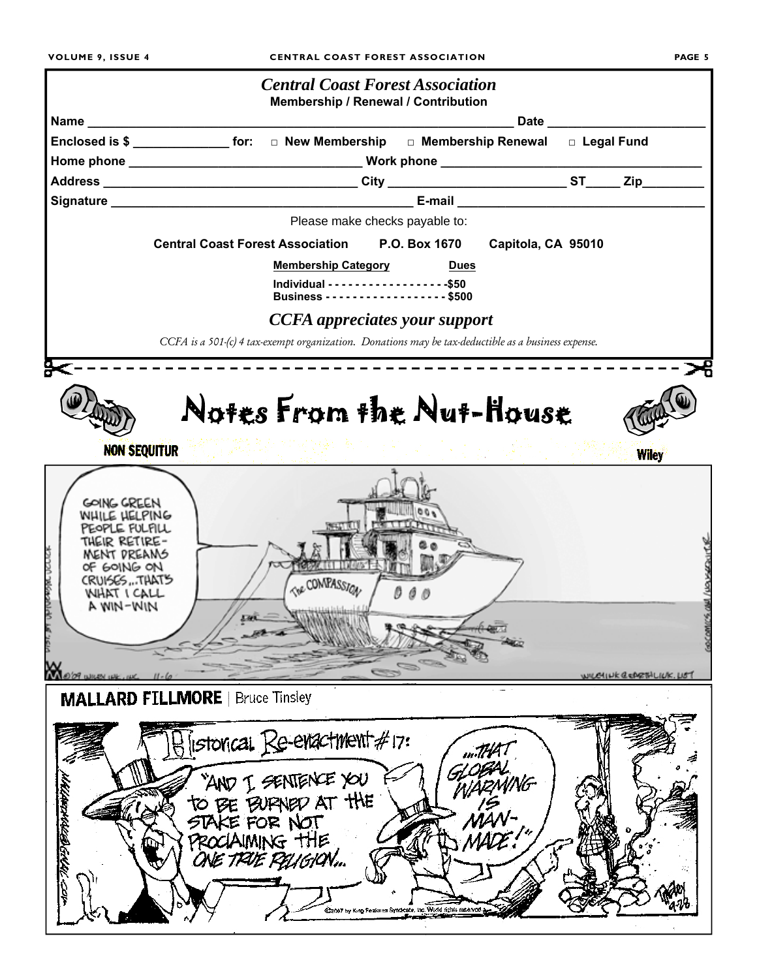